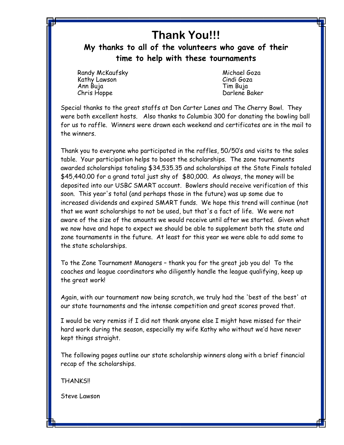## **Thank You!!!**

**My thanks to all of the volunteers who gave of their time to help with these tournaments**

Randy McKaufsky Michael Goza Kathy Lawson Cindi Goza Ann Buja Tim Buja

Darlene Baker

Special thanks to the great staffs at Don Carter Lanes and The Cherry Bowl. They were both excellent hosts. Also thanks to Columbia 300 for donating the bowling ball for us to raffle. Winners were drawn each weekend and certificates are in the mail to the winners.

Thank you to everyone who participated in the raffles, 50/50's and visits to the sales table. Your participation helps to boost the scholarships. The zone tournaments awarded scholarships totaling \$34,535.35 and scholarships at the State Finals totaled \$45,440.00 for a grand total just shy of \$80,000. As always, the money will be deposited into our USBC SMART account. Bowlers should receive verification of this soon. This year's total (and perhaps those in the future) was up some due to increased dividends and expired SMART funds. We hope this trend will continue (not that we want scholarships to not be used, but that's a fact of life. We were not aware of the size of the amounts we would receive until after we started. Given what we now have and hope to expect we should be able to supplement both the state and zone tournaments in the future. At least for this year we were able to add some to the state scholarships.

To the Zone Tournament Managers – thank you for the great job you do! To the coaches and league coordinators who diligently handle the league qualifying, keep up the great work!

Again, with our tournament now being scratch, we truly had the 'best of the best' at our state tournaments and the intense competition and great scores proved that.

I would be very remiss if I did not thank anyone else I might have missed for their hard work during the season, especially my wife Kathy who without we'd have never kept things straight.

The following pages outline our state scholarship winners along with a brief financial recap of the scholarships.

THANKS!!

Steve Lawson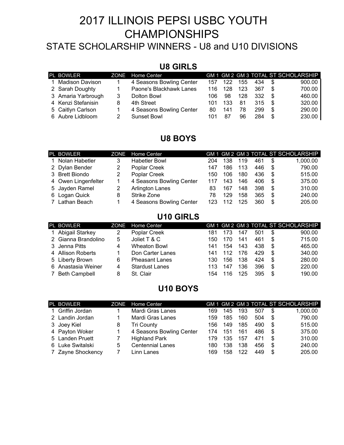# 2017 ILLINOIS PEPSI USBC YOUTH CHAMPIONSHIPS

## STATE SCHOLARSHIP WINNERS - U8 and U10 DIVISIONS

## **U8 GIRLS**

| PL BOWLER          |   | ZONE Home Center         |     |     |     |     |      | GM 1 GM 2 GM 3 TOTAL ST SCHOLARSHIP |
|--------------------|---|--------------------------|-----|-----|-----|-----|------|-------------------------------------|
| 1 Madison Davison  |   | 4 Seasons Bowling Center | 157 | 122 | 155 | 434 | - \$ | 900.00                              |
| 2 Sarah Doughty    |   | Paone's Blackhawk Lanes  | 116 | 128 | 123 | 367 | - \$ | 700.00                              |
| 3 Amaria Yarbrough | 3 | Dolton Bowl              | 106 | 98  | 128 | 332 | - \$ | 460.00                              |
| 4 Kenzi Stefanisin | 8 | 4th Street               | 101 | 133 | 81  | 315 | - \$ | 320.00                              |
| 5 Caitlyn Carlson  |   | 4 Seasons Bowling Center | 80. | 141 | 78  | 299 | -\$  | 290.00                              |
| 6 Aubre Lidbloom   |   | Sunset Bowl              | 101 | 87  | 96  | 284 | \$   | 230.00                              |

## **U8 BOYS**

| PL BOWLER           | ZONE | Home Center              |     |     |     |     |      | GM 1 GM 2 GM 3 TOTAL ST SCHOLARSHIP |
|---------------------|------|--------------------------|-----|-----|-----|-----|------|-------------------------------------|
| 1 Nolan Habetler    |      | <b>Habetler Bowl</b>     | 204 | 138 | 119 | 461 | \$   | 1,000.00                            |
| 2 Dylan Bender      |      | Poplar Creek             | 147 | 186 | 113 | 446 | - \$ | 790.00                              |
| 3 Brett Biondo      |      | Poplar Creek             | 150 | 106 | 180 | 436 | -S   | 515.00                              |
| 4 Owen Lingenfelter |      | 4 Seasons Bowling Center | 117 | 143 | 146 | 406 | -S   | 375.00                              |
| 5 Jayden Ramel      |      | Arlington Lanes          | 83  | 167 | 148 | 398 | \$   | 310.00                              |
| 6 Logan Quick       | 8    | Strike Zone              | 78  | 129 | 158 | 365 | \$   | 240.00                              |
| 7 Lathan Beach      |      | 4 Seasons Bowling Center | 123 | 112 | 125 | 360 | \$   | 205.00                              |

## **U10 GIRLS**

| PL BOWLER            | ZONE | Home Center           |     |     |     |     |    | GM 1 GM 2 GM 3 TOTAL ST SCHOLARSHIP |
|----------------------|------|-----------------------|-----|-----|-----|-----|----|-------------------------------------|
| 1 Abigail Starkey    |      | Poplar Creek          | 181 | 173 | 147 | 501 | S  | 900.00                              |
| 2 Gianna Brandolino  | 5    | Joliet T & C          | 150 | 170 | 141 | 461 | \$ | 715.00                              |
| 3 Jenna Pitts        | 4    | <b>Wheaton Bowl</b>   | 141 | 154 | 143 | 438 | \$ | 465.00                              |
| 4 Allison Roberts    |      | Don Carter Lanes      | 141 | 112 | 176 | 429 | \$ | 340.00                              |
| 5 Liberty Brown      | 6    | <b>Pheasant Lanes</b> | 130 | 156 | 138 | 424 | \$ | 280.00                              |
| 6 Anastasia Weiner   | 4    | <b>Stardust Lanes</b> | 113 | 147 | 136 | 396 | \$ | 220.00                              |
| <b>Beth Campbell</b> | 8    | St. Clair             | 154 | .16 | 125 | 395 | \$ | 190.00                              |

## **U10 BOYS**

| PL BOWLER         | ZONE | Home Center              |     |     |     |     |     | GM 1 GM 2 GM 3 TOTAL ST SCHOLARSHIP |
|-------------------|------|--------------------------|-----|-----|-----|-----|-----|-------------------------------------|
| Griffin Jordan    |      | Mardi Gras Lanes         | 169 | 145 | 193 | 507 | \$  | 1,000.00                            |
| 2 Landin Jordan   |      | Mardi Gras Lanes         | 159 | 185 | 160 | 504 | \$  | 790.00                              |
| 3 Joey Kiel       | 8    | Tri County               | 156 | 149 | 185 | 490 | \$  | 515.00                              |
| 4 Payton Woker    |      | 4 Seasons Bowling Center | 174 | 151 | 161 | 486 | \$  | 375.00                              |
| 5 Landen Pruett   |      | <b>Highland Park</b>     | 179 | 135 | 157 | 471 | \$. | 310.00                              |
| 6 Luke Switalski  | 5    | <b>Centennial Lanes</b>  | 180 | 138 | 138 | 456 | \$  | 240.00                              |
| 7 Zayne Shockency |      | Linn Lanes               | 169 | 158 | 122 | 449 | \$  | 205.00                              |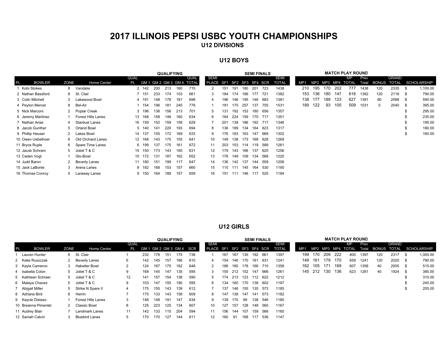## **2017 ILLINOIS PEPSI USBC YOUTH CHAMPIONSHIPSU12 DIVISIONS**

#### **U12 BOYS**

|           |                   |      |                           |             |        |     | <b>QUALIFYING</b> |     |                              |                           |     |     |         |             | <b>SEMI FINALS</b> |       |     |     |     |      | <b>MATCH PLAY ROUND</b> |      |                   |              |      |                    |
|-----------|-------------------|------|---------------------------|-------------|--------|-----|-------------------|-----|------------------------------|---------------------------|-----|-----|---------|-------------|--------------------|-------|-----|-----|-----|------|-------------------------|------|-------------------|--------------|------|--------------------|
|           |                   |      |                           | <b>QUAL</b> |        |     |                   |     | <b>QUAL</b>                  | SEMI                      |     |     |         |             |                    | SEMI  |     |     |     |      | МP                      | Prev |                   | <b>GRAND</b> |      |                    |
| <b>PL</b> | <b>BOWLER</b>     | ZONE | Home Center               |             |        |     |                   |     | PL GM 1 GM 2 GM 3 GM 4 TOTAL | PLACE SF1 SF2 SF3 SF4 SCR |     |     |         |             |                    | TOTAL | MP1 |     |     |      | MP2 MP3 MP4 TOTAL       |      | Total BONUS TOTAL |              |      | <b>SCHOLARSHIP</b> |
|           | 1 Kobi Stokes     |      | 8 Vandalia                |             | 2 142  | 200 | 213               | 160 | 715                          |                           | 151 | 191 |         | 180 201 723 |                    | 1438  | 210 | 195 | 170 | -202 | 777                     | 1438 | 120               | 2335         | - \$ | 1,100.00           |
|           | 2 Nathan Bassford |      | 8 St. Clair               |             | 7 151  | 233 | 174               | 103 | 661                          | 3                         | 184 | 174 | 186     | 177 721     |                    | 1382  | 153 | 136 | 180 | 147  | 616                     | 1382 | 120               | 2118 \$      |      | 790.00             |
|           | 3 Colin Mitchell  | 3    | Lakewood Bowl             |             | 4 191  | 148 | 178               | 181 | 698                          |                           | 196 | 146 | 195     | 146 683     |                    | 1381  | 138 | 177 | 189 | 123  | 627                     | 1381 | 80                | 2088         | - \$ | 590.00             |
|           | 4 Peyton Mercer   | 8    | Bel-Air                   |             | 154    | 196 | 181               | 245 | 776                          |                           | 191 | 170 | 257     |             | 137 755            | 1531  | 189 | 122 | 93  | 105  | 509                     | 1531 | $^{\circ}$        | 2040 \$      |      | 395.00             |
|           | 5 Nick Marconi    |      | Poplar Creek              |             | 3 196  | 136 | 156               | 213 | 701                          | -5                        | 131 | 192 | 153     |             | 180 656            | 1357  |     |     |     |      |                         |      |                   |              | S    | 295.00             |
|           | 6 Jeremy Martinez |      | <b>Forest Hills Lanes</b> |             | 13 168 | 158 | 148               | 160 | 634                          | 6                         | 164 | 224 | 159     |             | 170 717            | 1351  |     |     |     |      |                         |      |                   |              | S.   | 235.00             |
|           | 7 Nathan Arias    | 4    | <b>Stardust Lanes</b>     |             | 16 159 | 152 | 159               | 159 | 629                          |                           | 201 | 138 | 186     | 192 717     |                    | 1346  |     |     |     |      |                         |      |                   |              | \$   | 195.00             |
|           | 8 Jacob Gunther   | 5    | Orland Bowl               |             | 5 140  | 141 | 220               | 193 | 694                          | 8                         | 136 | 189 | 134     |             | 164 623            | 1317  |     |     |     |      |                         |      |                   |              | S    | 180.00             |
|           | 9 Phillip Heuser  |      | Lakes Bowl                |             | 14 137 | 155 | 172               | 169 | 633                          | 9                         | 176 | 183 | 163     |             | 147 669            | 1302  |     |     |     |      |                         |      |                   |              | \$   | 160.00             |
|           | 10 Owen Uebelhoer |      | 6 Old Orchard Lanes       |             | 12 168 | 143 | 175               | 155 | 641                          | 10                        | 149 | 138 | 173     |             | 168 628            | 1269  |     |     |     |      |                         |      |                   |              |      |                    |
|           | 11 Bryce Ruple    |      | 6 Spare Time Lanes        |             | 6 199  | 137 | 175               | 161 | 672                          | 11                        | 203 | 153 | 114     | 119 589     |                    | 1261  |     |     |     |      |                         |      |                   |              |      |                    |
|           | 12 Jacob Schram   | 5    | Joliet T & C              |             | 15 150 | 173 | 143               | 165 | 631                          | 12                        | 179 | 143 | 166     |             | 137 625            | 1256  |     |     |     |      |                         |      |                   |              |      |                    |
|           | 13 Caden Voqt     |      | Glo-Bowl                  |             | 10 172 | 131 | 187               | 162 | 652                          | 13                        | 176 | 149 | 109     |             | 134 568            | 1220  |     |     |     |      |                         |      |                   |              |      |                    |
|           | 14 Judd Baron     |      | Beverly Lanes             |             | 11 180 | 151 | 199               | 117 | 647                          | 14                        | 136 |     | 142 137 |             | 144 559            | 1206  |     |     |     |      |                         |      |                   |              |      |                    |
|           | 15 Jack LaBonte   | 3    | Arena Lanes               |             | 8 182  | 168 | 153               | 157 | 660                          | 15                        | 110 | 111 | 145     |             | 164 530            | 1190  |     |     |     |      |                         |      |                   |              |      |                    |
|           | 16 Thomas Conroy  | 5    | Laraway Lanes             |             | 9 150  | 164 | 188               | 157 | 659                          | 16                        | 151 | 111 | 146     | 117 525     |                    | 1184  |     |     |     |      |                         |      |                   |              |      |                    |

#### **U12 GIRLS**

|    |                     |      |                       |                   |     |     | <b>QUALIFYING</b> |     |                         |                           |     |     |                     |         | <b>SEMI FINALS</b> |              |     |             |         |      | <b>MATCH PLAY ROUND</b> |       |             |              |      |                    |
|----|---------------------|------|-----------------------|-------------------|-----|-----|-------------------|-----|-------------------------|---------------------------|-----|-----|---------------------|---------|--------------------|--------------|-----|-------------|---------|------|-------------------------|-------|-------------|--------------|------|--------------------|
|    |                     |      |                       | QUAL              |     |     |                   |     |                         | SEMI                      |     |     |                     |         |                    | SEMI         |     |             |         |      | MР                      | Prev  |             | <b>GRAND</b> |      |                    |
| PL | <b>BOWLER</b>       | ZONE | Home Center           | PL                |     |     |                   |     | GM 1 GM 2 GM 3 GM 4 SCR | PLACE SF1 SF2 SF3 SF4 SCR |     |     |                     |         |                    | <b>TOTAL</b> | MP1 |             |         |      | MP2 MP3 MP4 TOTAL       | Total | BONUS TOTAL |              |      | <b>SCHOLARSHIP</b> |
|    | 1 Lauren Hunter     |      | 8 St. Clair           |                   | 232 | 178 | 151               | 175 | 736                     |                           | 167 | 167 | 135                 | 192 661 |                    | 1397         |     | 199 170     | 209     | -222 | 800                     | 1397  | 120         | 2317         | -S   | 1,000.00           |
|    | 2 Katie Ruszczak    |      | 2 Beverly Lanes       | 6                 | 142 | 145 | 157               | 166 | 610                     |                           | 154 | 146 | 170                 | 161     | 631                | 1241         | 149 | 161         | 179 170 |      | 659                     | 1241  | 120         | 2020         | - \$ | 790.00             |
|    | 3 Kayla Cameron     |      | <b>Habetler Bowl</b>  | $\overline{2}$    | 124 | 167 | 175               | 182 | 648                     |                           | 186 | 180 | 178 166 710         |         |                    | 1358         |     | 162 105 171 |         | 169  | 607                     | 1358  | 40          | 2005 \$      |      | 515.00             |
|    | 4 Isabella Colon    |      | 5 Joliet T & C        | 9                 | 168 | 145 | 147               | 135 | 595                     |                           | 155 |     | 212 152             | 147     | 666                | 1261         |     | 145 212 130 |         | 136  | 623                     | 1261  | 40          | 1924         | - \$ | 380.00             |
|    | 5 Kathleen Schraer  |      | 5 Joliet T & C        | $12 \overline{ }$ | 141 | 157 | 154               | 138 | 590                     | .5                        |     |     | 174 213 123 112 622 |         |                    | 1212         |     |             |         |      |                         |       |             |              |      | 310.00             |
|    | 6 Malaya Chavez     |      | 5 Joliet T & C        | 9                 | 103 | 147 | 155               | 190 | 595                     | 6                         | 134 | 160 | 170                 | 138 602 |                    | 1197         |     |             |         |      |                         |       |             |              |      | 240.00             |
|    | 7 Abigail Miller    |      | Strike N Spare II     | 4                 | 175 | 155 | 143               | 139 | 612                     |                           | 137 | 146 | 155                 |         | 135 573            | 1185         |     |             |         |      |                         |       |             |              |      | 205.00             |
|    | 8 Adriana Bird      |      | Herrin                |                   | 175 | 133 | 143               | 158 | 609                     |                           | 147 | 138 | 147                 | 141     | 573                | 1182         |     |             |         |      |                         |       |             |              |      |                    |
|    | 9 Kaycie Distaso    |      | Forest Hills Lanes    | 3                 | 148 | 148 | 191               | 147 | 634                     | 9.                        | 139 | 170 | 99                  | 138     | 546                | 1180         |     |             |         |      |                         |       |             |              |      |                    |
|    | 10 Breanna Pimentel |      | 2 Classic Bowl        | 8                 | 125 | 223 | 125               | 134 | 607                     | 10                        | 127 | 157 | 128                 | 148     | 560                | 1167         |     |             |         |      |                         |       |             |              |      |                    |
|    | 11 Audrey Blair     |      | Landmark Lanes        | 11                | 142 | 133 | 115               | 204 | 594                     | 11                        | 156 | 144 | 107                 | 159     | 566                | 1160         |     |             |         |      |                         |       |             |              |      |                    |
|    | 12 Saniah Calvin    |      | <b>Bluebird Lanes</b> | 5                 | 170 | 170 | 127               | 144 | 611                     | 12                        | 160 | 91  | 168                 | 117     | 536                | 1147         |     |             |         |      |                         |       |             |              |      |                    |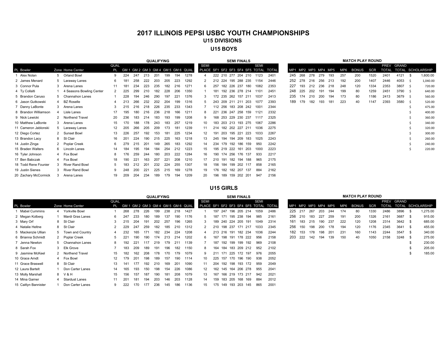### **2017 ILLINOIS PEPSI USBC YOUTH CHAMPIONSHIPSU15 DIVISIONSU15 BOYS**

|                      |   |                          |      |     |     |     | <b>QUALIFYING</b> |     |     |                                    |                                       |     |         |                 | <b>SEMI FINALS</b>  |             | <b>MATCH PLAY ROUND</b> |     |         |     |     |                     |     |              |      |              |            |      |                   |
|----------------------|---|--------------------------|------|-----|-----|-----|-------------------|-----|-----|------------------------------------|---------------------------------------|-----|---------|-----------------|---------------------|-------------|-------------------------|-----|---------|-----|-----|---------------------|-----|--------------|------|--------------|------------|------|-------------------|
|                      |   |                          | QUAL |     |     |     |                   |     |     |                                    | <b>SEMI</b>                           |     |         |                 |                     | <b>SEMI</b> |                         |     |         |     |     |                     |     |              |      |              | PREV GRAND |      |                   |
| PL Bowler            |   | Zone Home Center         | PL   |     |     |     |                   |     |     | GM 1 GM 2 GM 3 GM 4 GM 5 GM 6 QUAL | PLACE SF1 SF2 SF3 SF4 SF5 TOTAL TOTAL |     |         |                 |                     |             |                         |     |         |     |     | MP1 MP2 MP3 MP4 MP5 | MP6 | <b>BONUS</b> | SCR  | <b>TOTAL</b> |            |      | TOTAL SCHOLARSHIP |
| Alex Nolan           |   | 5 Orland Bowl            |      | 224 | 247 | 213 | 201               | 199 | 194 | 1278                               |                                       |     |         |                 | 222 210 277 204 210 | 1123        | 2401                    |     | 245 268 | 278 | 279 | 193                 | 257 | 200          | 1520 | 2401         | 4121       | - \$ | 1,600.00          |
| 2 James Menard       |   | 5 Laraway Lanes          |      | 181 | 258 | 222 | 203               | 205 | 223 | 1292                               |                                       |     |         |                 | 212 224 195 288 235 | 1154        | 2446                    | 252 | 278     | 216 | 256 | 213                 | 192 | 200          | 1407 | 2446         | 4053       | S.   | 1,040.00          |
| 3 Connor Pula        |   | 3 Arena Lanes            | 11   | 181 | 234 | 223 | 235               | 182 | 216 | 1271                               |                                       |     |         |                 | 257 182 226 237 180 | 1082        | 2353                    | 227 | 193     | 212 | 236 | 218                 | 248 | 120          | 1334 | 2353         | 3807       | -S   | 720.00            |
| 4 Ty Collalti        |   | 4 Seasons Bowling Center | 2    | 225 | 299 | 210 | 182               | 228 | 206 | 1350                               |                                       | 181 |         |                 | 192 236 278 214     | 1101        | 2451                    | 248 | 225     | 202 | 191 | 194                 | 199 | 80           | 1259 | 2451         | 3790 \$    |      | 640.00            |
| 5 Brandon Caruso     |   | Channahon Lanes          |      | 228 | 194 | 246 | 290               | 197 | 221 | 1376                               |                                       |     |         |                 | 172 235 262 157 211 | 1037        | 2413                    | 235 | 174     | 210 | 200 | 194                 | 173 | 80           | 1186 | 2413         | 3679 \$    |      | 560.00            |
| 6 Jason Gutkowski    |   | <b>BZ Roselle</b>        |      | 213 | 266 | 232 | 202               | 204 | 199 | 1316                               |                                       |     |         |                 | 243 209 211 211 203 | 1077        | 2393                    | 189 | 179     | 182 | 193 | 181                 | 223 | 40           | 1147 | 2393         | 3580       | - S  | 520.00            |
| 7 Danny LaBonte      |   | 3 Arena Lanes            | 3    | 215 | 216 | 218 | 226               | 235 | 233 | 1343                               |                                       |     |         |                 | 112 256 183 208 242 | 1001        | 2344                    |     |         |     |     |                     |     |              |      |              |            |      | 475.00            |
| 8 Brandon Williamson |   | 4 Lisle Lanes            | 17   | 195 | 180 | 216 | 236               | 218 | 166 | 1211                               |                                       |     |         |                 | 221 236 247 258 159 | 1121        | 2332                    |     |         |     |     |                     |     |              |      |              |            |      | 400.00            |
| 9 Nick Lewicki       |   | 2 Northend Travel        | 20   | 236 | 183 | 214 | 183               | 193 | 199 | 1208                               |                                       |     |         |                 | 168 253 229 230 237 | 1117        | 2325                    |     |         |     |     |                     |     |              |      |              |            |      | 360.00            |
| 10 Matthew LaBonte   |   | Arena Lanes              | 15   | 170 | 188 | 178 | 243               | 183 | 257 | 1219                               | 10                                    |     |         |                 | 183 203 213 193 275 | 1067        | 2286                    |     |         |     |     |                     |     |              |      |              |            |      | 340.00            |
| 11 Cameron Jablonski |   | 5 Laraway Lanes          | 12   | 205 | 266 | 205 | 209               | 173 | 181 | 1239                               | 11                                    |     |         |                 | 214 182 202 227 211 | 1036        | 2275                    |     |         |     |     |                     |     |              |      |              |            |      | 320.00            |
| 12 Diego Cortez      |   | 2 Sunset Bowl            | 13   | 226 | 257 | 192 | 153               | 181 | 225 | 1234                               | 12                                    |     |         | 191 203 195 221 | 223                 | 1033        | 2267                    |     |         |     |     |                     |     |              |      |              |            |      | 300.00            |
| 13 Brandon Lacy      |   | 8 St Clair               | 16   | 201 | 224 | 190 | 215               | 225 | 163 | 1218                               | 13                                    |     | 245 194 |                 | 194 209 183         | 1025        | 2243                    |     |         |     |     |                     |     |              |      |              |            |      | 260.00            |
| 14 Justin Zinga      |   | 2 Poplar Creek           | 6    | 279 | 215 | 201 | 149               | 265 | 183 | 1292                               | 14                                    | 234 | 179     |                 | 192 186 159         | 950         | 2242                    |     |         |     |     |                     |     |              |      |              |            |      | 240.00            |
| 15 Braden Walters    | 6 | Lincoln Lanes            | 14   | 184 | 195 | 194 | 184               | 254 | 212 | 1223                               | 15                                    |     |         | 195 219 222 161 | 203                 | 1000        | 2223                    |     |         |     |     |                     |     |              |      |              |            |      | 220.00            |
| 16 Tyler Johnson     |   | 4 Fox Bowl               | 8    | 176 | 259 | 244 | 180               | 203 | 222 | 1284                               | 16                                    |     |         |                 | 190 174 256 176 137 | 933         | 2217                    |     |         |     |     |                     |     |              |      |              |            |      |                   |
| 17 Ben Babczak       |   | 4 Fox Bowl               | 18   | 190 | 221 | 163 | 207               | 221 | 208 | 1210                               | 17                                    | 210 | 191     |                 | 182 194 188         | 965         | 2175                    |     |         |     |     |                     |     |              |      |              |            |      |                   |
| 18 Todd Rene Founier |   | <b>River Rand Bowl</b>   |      | 183 | 212 | 201 | 232               | 224 | 255 | 1307                               | 18                                    | 156 | 184     | 199             | 202 117             | 858         | 2165                    |     |         |     |     |                     |     |              |      |              |            |      |                   |
| 19 Justin Sienes     |   | <b>River Rand Bowl</b>   | 9    | 248 | 200 | 221 | 225               | 215 | 169 | 1278                               | 19                                    |     | 176 182 |                 | 182 207 137         | 884         | 2162                    |     |         |     |     |                     |     |              |      |              |            |      |                   |
| 20 Zachary McCormick |   | Arena Lanes              | 19   | 209 | 204 | 234 | 189               | 179 | 194 | 1209                               | 20                                    |     |         |                 | 196 189 159 202 201 | 947         | 2156                    |     |         |     |     |                     |     |              |      |              |            |      |                   |

#### **U15 GIRLS**

|                      |                    |      |     |     |     | <b>QUALIFYING</b> |     |     |                                       |             |     |     | <b>SEMI FINALS</b>  |                                               |      |     |         |     |     |                     |     | <b>MATCH PLAY ROUND</b> |            |              |            |            |                   |
|----------------------|--------------------|------|-----|-----|-----|-------------------|-----|-----|---------------------------------------|-------------|-----|-----|---------------------|-----------------------------------------------|------|-----|---------|-----|-----|---------------------|-----|-------------------------|------------|--------------|------------|------------|-------------------|
| PL Bowler            | Zone Home Center   | QUAL |     |     |     |                   |     |     | PL GM 1 GM 2 GM 3 GM 4 GM 5 GM 6 QUAL | <b>SEMI</b> |     |     |                     | SEMI<br>PLACE SF1 SF2 SF3 SF4 SF5 TOTAL TOTAL |      |     |         |     |     | MP1 MP2 MP3 MP4 MP5 | MP6 | <b>BONUS</b>            | <b>SCR</b> | <b>TOTAL</b> | PREV GRAND |            | TOTAL SCHOLARSHIP |
| <b>Mabel Cummins</b> | 4 Yorkville Bowl   |      | 268 | 278 | 226 | 199               | 238 | 218 | 1427                                  |             |     |     | 197 247 196 205 214 | 1059                                          | 2486 |     | 225 217 | 267 | 203 | 244                 | 174 | 80                      | 1330       | 2486         | 3896       | - \$       | 1,275.00          |
| 2 Megan Kolberg      | Mardi Gras Lanes   |      | 247 | 233 | 180 | 189               | 137 | 190 | 1176                                  |             | 187 |     | 171 195 238 194     | 985                                           | 2161 |     | 256 210 | 183 | 227 | 259                 | 191 | 200                     | 1326       | 2161         | 3687       | $^{\circ}$ | 915.00            |
| 3 Mary Orf           | 8 St Clair         |      | 215 | 204 | 191 | 202               | 257 | 196 | 1265                                  |             |     |     | 189 240 224 205 191 | 1049                                          | 2314 | 161 | 183     | 215 | 190 | 237                 | 222 | 120                     | 1208       | 2314         | 3642 \$    |            | 685.00            |
| 4 Natalie Heltne     | 8 St Clair         |      | 229 | 247 | 259 | 182               | 185 | 210 | 1312                                  |             |     |     | 210 198 237 171 217 | 1033                                          | 2345 |     | 256 150 | 198 | 200 | 178                 | 194 | 120                     | 1176       | 2345         | 3641       | $^{\circ}$ | 455.00            |
| 5 Mackenzie Ullian   | 5 Town and Country |      | 232 | 165 | 171 | 182               | 234 | 224 | 1208                                  |             |     |     | 213 216 191 182 234 | 1036                                          | 2244 |     | 182 153 | 178 | 198 | 201                 | 231 | 160                     | 1143       | 2244         | 3547       | <b>S</b>   | 340.00            |
| 6 Brianna Schmidt    | 2 Poplar Creek     |      | 221 | 190 | 190 | 174               | 213 | 214 | 1202                                  |             | 167 |     | 198 191 178 222     | 956                                           | 2158 |     | 203 222 | 142 | 194 | 139                 | 150 | 40                      | 1050       | 2158         | 3248 \$    |            | 275.00            |
| 7 Jenna Newton       | 5 Channahon Lanes  |      | 192 | 221 | 117 | 219               | 179 | 211 | 1139                                  |             | 187 |     | 192 199 199 192     | 969                                           | 2108 |     |         |     |     |                     |     |                         |            |              |            |            | 230.00            |
| 8 Sarah Fox          | 3 Elk Grove        |      | 183 | 209 | 189 | 191               | 196 | 182 | 1150                                  |             | 164 | 184 | 183 209 212         | 952                                           | 2102 |     |         |     |     |                     |     |                         |            |              |            |            | 205.00            |
| 9 Jasmine McKeel     | 2 Northend Travel  | 15   | 182 | 162 | 208 | 178               | 170 | 179 | 1079                                  |             | 211 | 171 | 225 172 197         | 976                                           | 2055 |     |         |     |     |                     |     |                         |            |              |            |            | 185.00            |
| 10 Grace Arndt       | 4 Fox Bowl         |      | 179 | 201 | 198 | 189               | 157 | 190 | 1114                                  | 10          |     |     | 225 157 170 196 190 | 938                                           | 2052 |     |         |     |     |                     |     |                         |            |              |            |            |                   |
| 11 Grace Braswell    | 8 St Clair         | 13   | 141 | 177 | 192 | 210               | 169 | 201 | 1090                                  |             |     |     | 204 192 198 193 172 | 959                                           | 2049 |     |         |     |     |                     |     |                         |            |              |            |            |                   |
| 12 Laura Bartelt     | Don Carter Lanes   | 14   | 165 | 193 | 150 | 198               | 154 | 226 | 1086                                  | 12          |     |     | 162 145 164 206 278 | 955                                           | 2041 |     |         |     |     |                     |     |                         |            |              |            |            |                   |
| 13 Molly Marshall    | 8 V&H              | 15   | 156 | 157 | 187 | 190               | 181 | 208 | 1079                                  | 13          | 167 |     | 166 219 173 217     | 942                                           | 2021 |     |         |     |     |                     |     |                         |            |              |            |            |                   |
| 14 Mina Garner       | 4 Stardust Lanes   |      | 201 | 181 | 194 | 203               | 146 | 203 | 1128                                  | 14          | 159 |     | 183 205 168 169     | 884                                           | 2012 |     |         |     |     |                     |     |                         |            |              |            |            |                   |
| 15 Caitlyn Bannister | Don Carter Lanes   |      | 222 | 170 | 177 | 236               | 145 | 186 | 1136                                  | 15          |     |     | 175 149 193 203 145 | 865                                           | 2001 |     |         |     |     |                     |     |                         |            |              |            |            |                   |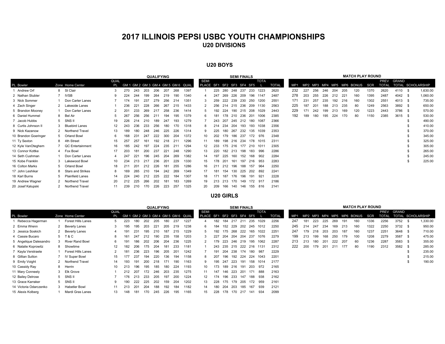### **2017 ILLINOIS PEPSI USBC YOUTH CHAMPIONSHIPS U20 DIVISIONS**

#### **U20 BOYS**

|                      |   |                         |                   |     |     |     | <b>QUALIFYING</b> |     |     |                                    |                                          |         |     | <b>SEMI FINALS</b> |     |                         |                      |              |     |     |         |     |     |     | <b>MATCH PLAY ROUND</b> |            |                             |         |     |                   |
|----------------------|---|-------------------------|-------------------|-----|-----|-----|-------------------|-----|-----|------------------------------------|------------------------------------------|---------|-----|--------------------|-----|-------------------------|----------------------|--------------|-----|-----|---------|-----|-----|-----|-------------------------|------------|-----------------------------|---------|-----|-------------------|
| PL Bowler            |   | Zone Home Center        | QUAL<br><b>PL</b> |     |     |     |                   |     |     | GM 1 GM 2 GM 3 GM 4 GM 5 GM 6 QUAL | <b>SEMI</b><br>PLACE SF1 SF2 SF3 SF4 SF5 |         |     |                    |     |                         | <b>TOTA</b>          | <b>TOTAL</b> | MP1 |     | MP2 MP3 |     |     |     | MP4 MP5 MP6 BONUS       | <b>SCR</b> | <b>PREV</b><br><b>TOTAL</b> | GRAND   |     | TOTAL SCHOLARSHIP |
| Andrew Orf           |   | 8 St Clair              |                   | 270 | 243 | 203 | 206               | 207 | 268 | 1397                               |                                          | 225 280 |     | 248                | 237 | 233                     | 1223                 | 2620         | 232 | 227 | 256     | 246 | 204 | 205 | 120                     | 1370       | 2620                        | 4110 \$ |     | 1,630.00          |
| 2 Nathan Stubler     |   | <b>IVSB</b>             |                   | 224 | 244 | 199 | 264               | 219 | 190 | 1340                               |                                          | 247     |     | 269 226 209        |     | 196                     | 1147                 | 2487         | 278 | 203 | 255     | 226 | 212 | 221 | 160                     | 1395       | 2487                        | 4042 \$ |     | 1,060.00          |
| 3 Nick Sommer        |   | Don Carter Lanes        |                   | 174 | 191 | 237 | 279               | 256 | 214 | 1351                               |                                          | 259     | 222 | 239                | 230 | 250                     | 1200                 | 2551         | 171 | 231 | 257     | 235 | 192 | 216 | 160                     | 1302       | 2551                        | 4013 \$ |     | 735.00            |
| 4 Zach Singer        |   | Lakeside Lanes          |                   | 236 | 221 | 228 | 266               | 267 | 215 | 1433                               |                                          | 256     |     | 214 215            | 236 | 209                     | 1130                 | 2563         | 225 | 187 | 201     | 188 | 213 | 235 | 80                      | 1249       | 2563                        | 3892    | - S | 650.00            |
| 5 Brandon Mooney     |   | Don Carter Lanes        |                   | 201 | 233 | 269 | 217               | 258 | 236 | 1414                               |                                          | 192     |     | 224 190 215 208    |     |                         | 1029                 | 2443         | 229 | 171 | 242     | 199 | 213 | 169 | 120                     | 1223       | 2443                        | 3786 \$ |     | 570.00            |
| 6 Daniel Hummel      | 8 | Bel Air                 | 5                 | 267 | 256 | 256 | 211               | 194 | 195 | 1379                               | 6                                        | 181     |     | 178 210 236        |     | 201                     | 1006                 | 2385         | 192 | 189 | 180     | 195 | 224 | 170 | 80                      | 1150       | 2385                        | 3615 \$ |     | 530.00            |
| 7 Jacob Hubbs        |   | SNS II                  | 19                | 226 | 214 | 210 | 189               | 247 | 193 | 1279                               |                                          | 243     | 207 |                    |     | 245 212 180             | 1087                 | 2366         |     |     |         |     |     |     |                         |            |                             |         |     | 490.00            |
| 8 Curtis Johnson II  |   | <b>Bluebird Lanes</b>   | 12                | 243 | 236 | 233 | 256               | 180 | 170 | 1318                               |                                          | 214     | 234 | 204                |     | 193 193                 | 1038                 | 2356         |     |     |         |     |     |     |                         |            |                             |         |     | 410.00            |
| 9 Nick Kazanow       |   | 2 Northend Travel       | 13                | 189 | 180 | 248 | 246               | 225 | 226 | 1314                               | 9                                        | 225     | 180 | 267 232            |     | 135                     | 1039                 | 2353         |     |     |         |     |     |     |                         |            |                             |         |     | 370.00            |
| 10 Brandon Goeringer |   | 5 Orland Bowl           | 6                 | 168 | 231 | 247 | 222               | 300 | 204 | 1372                               | 10                                       | 202     | 179 | 186                | 237 |                         | 172 976              | 2348         |     |     |         |     |     |     |                         |            |                             |         |     | 345.00            |
| 11 Ty Sexton         |   | 4th Street              | 15                | 257 | 257 | 161 | 192               | 218 | 21' | 1296                               | 11                                       | 189     | 198 | 216 234            |     | 178                     | 1015                 | 2311         |     |     |         |     |     |     |                         |            |                             |         |     | 325.00            |
| 12 Kyle VanOteghem   |   | QC Entertainment        | 16                | 185 | 242 | 197 | 224               | 235 | 21' | 1294                               | 12                                       | 233     |     |                    |     |                         | 175 216 177 210 1011 | 2305         |     |     |         |     |     |     |                         |            |                             |         |     | 305.00            |
| 13 Connor Kottke     |   | Fox Bowl                | 17                | 203 | 181 | 200 | 237               | 221 | 248 | 1290                               | 13                                       | 220     |     | 182 213 198        |     | 183                     | 996                  | 2286         |     |     |         |     |     |     |                         |            |                             |         |     | 265.00            |
| 14 Seth Cushman      |   | Don Carter Lanes        |                   | 247 | 221 | 196 | 245               | 204 | 269 | 1382                               | 14                                       | 197     | 225 | 160                | 152 | 168                     | 902                  | 2284         |     |     |         |     |     |     |                         |            |                             |         |     | 245.00            |
| 15 Kobe Franklin     | 3 | Lakewood Bowl           | 10                | 234 | 213 | 217 | 236               | 201 | 229 | 1330                               | 15                                       | 178     | 201 | 161                | 197 | 216                     | 953                  | 2283         |     |     |         |     |     |     |                         |            |                             |         |     | 225.00            |
| 16 Colton Marks      | 5 | Orland Bowl             | 18                | 211 | 201 | 212 | 226               | 181 | 255 | 1286                               | 16                                       | 211     |     | 212 196 188        |     | 157                     | 964                  | 2250         |     |     |         |     |     |     |                         |            |                             |         |     |                   |
| 17 John Leshikar     | 8 | Stars and Strikes       | 8                 | 169 | 265 | 210 | 194               | 242 | 269 | 1349                               | 17                                       | 181     | 154 | 130                | 225 |                         | 202 892              | 2241         |     |     |         |     |     |     |                         |            |                             |         |     |                   |
| 18 Karl Burns        | 5 | <b>Plainfield Lanes</b> | 14                | 224 | 240 | 212 | 225               | 222 | 184 | 1307                               | 18                                       | 171     | 187 | 176                | 196 | 191                     | 921                  | 2228         |     |     |         |     |     |     |                         |            |                             |         |     |                   |
| 19 Andrew Wagner     |   | Northend Travel         | 20                | 212 | 225 | 266 | 202               | 181 | 183 | 1269                               | 19                                       |         |     |                    |     | 213 213 170 149 172 917 |                      | 2186         |     |     |         |     |     |     |                         |            |                             |         |     |                   |
| 20 Josef Kalupski    |   | Northend Travel         | 11                | 239 | 210 | 170 | 226               | 223 | 257 | 1325                               | 20                                       | 209     | 166 |                    |     | 140 146 155 816         |                      | 2141         |     |     |         |     |     |     |                         |            |                             |         |     |                   |

#### **U20 GIRLS**

|                        |                        |      |     |     |     | <b>QUALIFYING</b> |     |     |                                    |                           |     |         | <b>SEMI FINALS</b> |         |     |                  |              |     |     |     |     |     |      | <b>MATCH PLAY ROUND</b>   |            |              |         |     |                   |
|------------------------|------------------------|------|-----|-----|-----|-------------------|-----|-----|------------------------------------|---------------------------|-----|---------|--------------------|---------|-----|------------------|--------------|-----|-----|-----|-----|-----|------|---------------------------|------------|--------------|---------|-----|-------------------|
|                        |                        | QUAL |     |     |     |                   |     |     |                                    | <b>SEMI</b>               |     |         |                    |         |     | <b>TOTA</b>      |              |     |     |     |     |     |      |                           |            | <b>PREV</b>  | GRAND   |     |                   |
| PL Bowler              | Zone Home Center       | PL   |     |     |     |                   |     |     | GM 1 GM 2 GM 3 GM 4 GM 5 GM 6 QUAL | PLACE SF1 SF2 SF3 SF4 SF5 |     |         |                    |         |     |                  | <b>TOTAL</b> | MP1 |     |     |     |     |      | MP2 MP3 MP4 MP5 MP6 BONUS | <b>SCR</b> | <b>TOTAL</b> |         |     | TOTAL SCHOLARSHIP |
| Rebecca Hagerman       | Forest Hills Lanes     |      | 223 | 180 | 202 | 205               | 180 | 237 | 1227                               |                           | 182 | 184     | 217                | 211     | 235 | 1029             | 2256         | 247 | 181 | 223 | 225 | 269 | 191  | 160                       | 1336       | 2256         | 3752    | - S | ,330.00           |
| 2 Emma Wrenn           | 2 Beverly Lanes        |      | 195 | 195 | 203 | 221               | 205 | 219 | 1238                               | 6                         | 184 | 152     | 229                | 202     | 245 | 1012             | 2250         | 245 | 214 | 247 | 234 | 169 | -213 | 160                       | 1322       | 2250         | 3732 \$ |     | 950.00            |
| 3 Jessica Soskich      | 2 Beverly Lanes        | 4    | 191 | 231 | 195 | 210               | 187 | 215 | 1229                               |                           | 192 | 175     | 268                | 222     | 165 | 1022             | 2251         | 247 | 179 | 218 | 203 | 203 | 187  | 160                       | 1237       | 2251         | 3648 \$ |     | 710.00            |
| 4 Cassie Bucaro        | 5 T&C                  | 8    | 161 | 247 | 212 | 190               | 235 | 158 | 1203                               |                           | 227 | 204     | 204                | 204     | 237 | 1076             | 2279         | 199 | 213 | 199 | 168 | 250 | 179  | 100                       | 1208       | 2279         | 3587    | - S | 475.00            |
| 5 Angelique Dalesandro | <b>River Rand Bowl</b> | 6    | 191 | 186 | 202 | 206               | 204 | 236 | 1225                               |                           | 179 | 223     | 246 219            |         | 195 | 1062             | 2287         | 213 | 213 | 180 | 201 | 222 | 207  | 60                        | 1236       | 2287         | 3583    | - S | 355.00            |
| 6 Natalie Koprowitz    | 8 Showtime             | 12   | 182 | 206 | 175 | 204               | 181 | 233 | 1181                               |                           |     | 243 235 |                    |         |     | 215 222 216 1131 | 2312         | 222 | 200 | 179 | 201 | 211 | 177  | 80                        | 1190       | 2312         | 3582 \$ |     | 285.00            |
| 7 Kayla Verstraete     | Forest Hills Lanes     |      | 181 | 236 | 223 | 196               | 205 | 201 | 1242                               |                           | 191 | 204     | 238                | 174     | 180 | 987              | 2229         |     |     |     |     |     |      |                           |            |              |         |     | 235.00            |
| 8 Gillian Sutton       | <b>IV Super Bowl</b>   | 15   | 177 | 237 | 194 | 220               | 136 | 194 | 1158                               | 8                         | 207 | 196     |                    | 192 224 | 224 | 1043             | 2201         |     |     |     |     |     |      |                           |            |              |         |     | 215.00            |
| 9 Emily Voight         | 2 Northend Travel      | 14   | 193 | 191 | 200 | 218               | 171 | 190 | 1163                               |                           | 195 | 247     | 223                | 191     | 158 | 1014             | 2177         |     |     |     |     |     |      |                           |            |              |         |     | 190.00            |
| 10 Cassidy Ray         | 8 Herrin               |      | 213 | 196 | 195 | 185               | 180 | 224 | 1193                               | 10                        | 173 | 189     |                    | 216 191 | 203 | 972              | 2165         |     |     |     |     |     |      |                           |            |              |         |     |                   |
| 11 Mary Conneely       | 3 Elk Grove            |      | 212 | 207 | 172 | 246               | 203 | 235 | 1275                               | 11                        | 147 | 146     |                    | 223 201 | 171 | 888              | 2163         |     |     |     |     |     |      |                           |            |              |         |     |                   |
| 12 Bailey Delrose      | 5 SNS II               |      | 176 | 213 | 233 | 205               | 197 | 200 | 1224                               | 12 <sup>2</sup>           | 174 | 196     | 233                | 147     | 188 | 938              | 2162         |     |     |     |     |     |      |                           |            |              |         |     |                   |
| 13 Grace Karraker      | 5 SNS II               | 9    | 190 | 222 | 225 | 202               | 159 | 204 | 1202                               | 13                        | 228 | 175     |                    | 179 205 | 172 | 959              | 2161         |     |     |     |     |     |      |                           |            |              |         |     |                   |
| 14 Victoria Odarczenko | 3 Habetler Bowl        | 11   | 213 | 201 | 204 | 188               | 192 | 184 | 1182                               | 14                        | 180 | 204     | 203                | 185     | 167 | 939              | 2121         |     |     |     |     |     |      |                           |            |              |         |     |                   |
| 15 Alexis Kolberg      | Mardi Gras Lanes       | 13   | 148 | 181 | 170 | 245               | 226 | 195 | 1165                               | 15                        | 228 | 178     | 170                | 217     | 141 | 934              | 2099         |     |     |     |     |     |      |                           |            |              |         |     |                   |